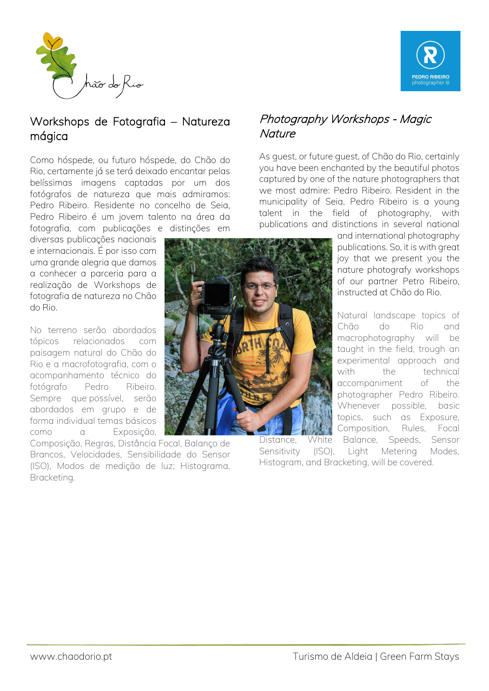



# Workshops de Fotografia – Natureza mágica

Como hóspede, ou futuro hóspede, do Chão do Rio, certamente já se terá deixado encantar pelas belíssimas imagens captadas por um dos fotógrafos de natureza que mais admiramos: Pedro Ribeiro. Residente no concelho de Seia, Pedro Ribeiro é um jovem talento na área da fotografia, com publicações e distinções em

diversas publicações nacionais e internacionais. É por isso com uma grande alegria que damos a conhecer a parceria para a realização de Workshops de fotografia de natureza no Chão do Rio.

No terreno serão abordados tópicos relacionados com paisagem natural do Chão do Rio e a macrofotografia, com o acompanhamento técnico do fotógrafo Pedro Ribeiro. Sempre que possível, serão abordados em grupo e de forma individual temas básicos como a Exposição,

Composição, Regras, Distância Focal, Balanço de Brancos, Velocidades, Sensibilidade do Sensor (ISO), Modos de medição de luz; Histograma, Bracketing.

# Photography Workshops - Magic **Nature**

As guest, or future guest, of Chão do Rio, certainly you have been enchanted by the beautiful photos captured by one of the nature photographers that we most admire: Pedro Ribeiro. Resident in the municipality of Seia, Pedro Ribeiro is a young talent in the field of photography, with publications and distinctions in several national

> and international photography publications. So, it is with great joy that we present you the nature photografy workshops of our partner Petro Ribeiro, instructed at Chão do Rio.

Natural landscape topics of Chão do Rio and macrophotography will be taught in the field, trough an experimental approach and with the technical accompaniment of the photographer Pedro Ribeiro. Whenever possible, basic topics, such as Exposure, Composition, Rules, Focal Distance, White Balance, Speeds, Sensor

Sensitivity (ISO), Light Metering Modes, Histogram, and Bracketing, will be covered.